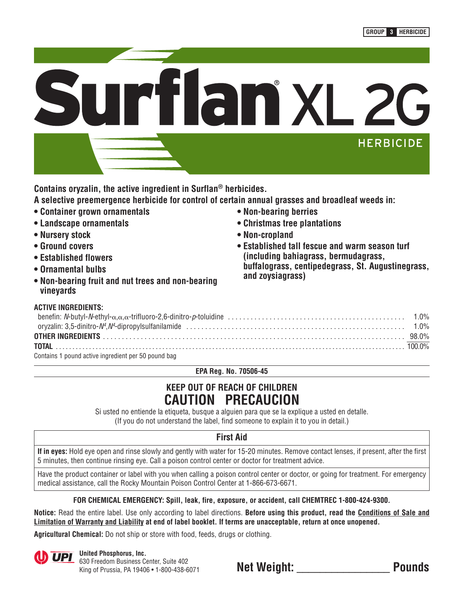

**Contains oryzalin, the active ingredient in Surflan® herbicides.**

- **A selective preemergence herbicide for control of certain annual grasses and broadleaf weeds in:**
- **Container grown ornamentals**
- **Landscape ornamentals**
- **Nursery stock**
- **Ground covers**
- **Established flowers**
- **Ornamental bulbs**
- **Non-bearing fruit and nut trees and non-bearing vineyards**

# **ACTIVE INGREDIENTS:**

- **Non-bearing berries**
- **Christmas tree plantations**
- **Non-cropland**
- **Established tall fescue and warm season turf (including bahiagrass, bermudagrass, buffalograss, centipedegrass, St. Augustinegrass, and zoysiagrass)**

| AVIIVE INVIILDILIVIV.                               |  |
|-----------------------------------------------------|--|
|                                                     |  |
|                                                     |  |
|                                                     |  |
|                                                     |  |
| Contains 1 pound active ingredient per 50 pound bag |  |

**EPA Reg. No. 70506-45**

# **KEEP OUT OF REACH OF CHILDREN CAUTION PRECAUCION**

Si usted no entiende la etiqueta, busque a alguien para que se la explique a usted en detalle. (If you do not understand the label, find someone to explain it to you in detail.)

# **First Aid**

**If in eyes:** Hold eye open and rinse slowly and gently with water for 15-20 minutes. Remove contact lenses, if present, after the first 5 minutes, then continue rinsing eye. Call a poison control center or doctor for treatment advice.

Have the product container or label with you when calling a poison control center or doctor, or going for treatment. For emergency medical assistance, call the Rocky Mountain Poison Control Center at 1-866-673-6671.

# **FOR CHEMICAL EMERGENCY: Spill, leak, fire, exposure, or accident, call CHEMTREC 1-800-424-9300.**

**Notice:** Read the entire label. Use only according to label directions. **Before using this product, read the Conditions of Sale and Limitation of Warranty and Liability at end of label booklet. If terms are unacceptable, return at once unopened.**

**Agricultural Chemical:** Do not ship or store with food, feeds, drugs or clothing.



**UPI** United Phosphorus, Inc. 630 Freedom Business Center, Suite 402

| OSU FICCUOIII BUSINESS GENICI. DUNC 40Z    |                    |               |
|--------------------------------------------|--------------------|---------------|
| King of Prussia, PA 19406 . 1-800-438-6071 | <b>Net Weight:</b> | <b>Pounds</b> |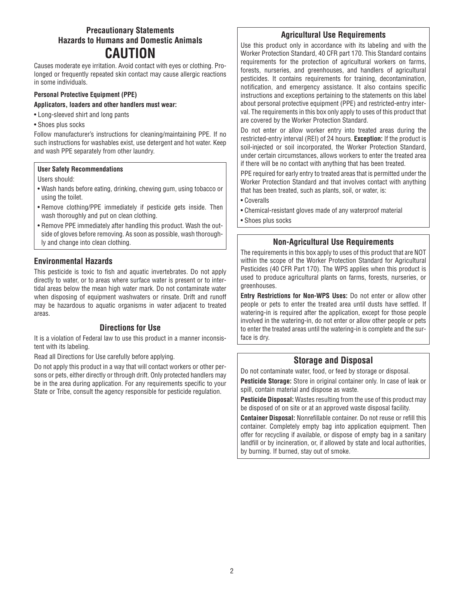# **Precautionary Statements Hazards to Humans and Domestic Animals CAUTION**

Causes moderate eye irritation. Avoid contact with eyes or clothing. Prolonged or frequently repeated skin contact may cause allergic reactions in some individuals.

# **Personal Protective Equipment (PPE)**

## **Applicators, loaders and other handlers must wear:**

- Long-sleeved shirt and long pants
- Shoes plus socks

Follow manufacturer's instructions for cleaning/maintaining PPE. If no such instructions for washables exist, use detergent and hot water. Keep and wash PPE separately from other laundry.

### **User Safety Recommendations**

### Users should:

- Wash hands before eating, drinking, chewing gum, using tobacco or using the toilet.
- Remove clothing/PPE immediately if pesticide gets inside. Then wash thoroughly and put on clean clothing.
- Remove PPE immediately after handling this product. Wash the outside of gloves before removing. As soon as possible, wash thoroughly and change into clean clothing.

# **Environmental Hazards**

This pesticide is toxic to fish and aquatic invertebrates. Do not apply directly to water, or to areas where surface water is present or to intertidal areas below the mean high water mark. Do not contaminate water when disposing of equipment washwaters or rinsate. Drift and runoff may be hazardous to aquatic organisms in water adjacent to treated areas.

# **Directions for Use**

It is a violation of Federal law to use this product in a manner inconsistent with its labeling.

Read all Directions for Use carefully before applying.

Do not apply this product in a way that will contact workers or other persons or pets, either directly or through drift. Only protected handlers may be in the area during application. For any requirements specific to your State or Tribe, consult the agency responsible for pesticide regulation.

## **Agricultural Use Requirements**

Use this product only in accordance with its labeling and with the Worker Protection Standard, 40 CFR part 170. This Standard contains requirements for the protection of agricultural workers on farms, forests, nurseries, and greenhouses, and handlers of agricultural pesticides. It contains requirements for training, decontamination, notification, and emergency assistance. It also contains specific instructions and exceptions pertaining to the statements on this label about personal protective equipment (PPE) and restricted-entry interval. The requirements in this box only apply to uses of this product that are covered by the Worker Protection Standard.

Do not enter or allow worker entry into treated areas during the restricted-entry interval (REI) of 24 hours. **Exception:** If the product is soil-injected or soil incorporated, the Worker Protection Standard, under certain circumstances, allows workers to enter the treated area if there will be no contact with anything that has been treated.

PPE required for early entry to treated areas that is permitted under the Worker Protection Standard and that involves contact with anything that has been treated, such as plants, soil, or water, is:

• Coveralls

• Chemical-resistant gloves made of any waterproof material

• Shoes plus socks

# **Non-Agricultural Use Requirements**

The requirements in this box apply to uses of this product that are NOT within the scope of the Worker Protection Standard for Agricultural Pesticides (40 CFR Part 170). The WPS applies when this product is used to produce agricultural plants on farms, forests, nurseries, or greenhouses.

**Entry Restrictions for Non-WPS Uses:** Do not enter or allow other people or pets to enter the treated area until dusts have settled. If watering-in is required after the application, except for those people involved in the watering-in, do not enter or allow other people or pets to enter the treated areas until the watering-in is complete and the surface is dry.

# **Storage and Disposal**

Do not contaminate water, food, or feed by storage or disposal.

**Pesticide Storage:** Store in original container only. In case of leak or spill, contain material and dispose as waste.

**Pesticide Disposal:** Wastes resulting from the use of this product may be disposed of on site or at an approved waste disposal facility.

**Container Disposal:** Nonrefillable container. Do not reuse or refill this container. Completely empty bag into application equipment. Then offer for recycling if available, or dispose of empty bag in a sanitary landfill or by incineration, or, if allowed by state and local authorities, by burning. If burned, stay out of smoke.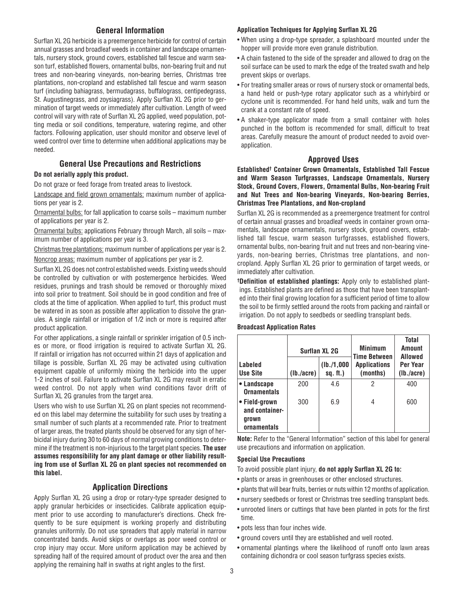## **General Information**

Surflan XL 2G herbicide is a preemergence herbicide for control of certain annual grasses and broadleaf weeds in container and landscape ornamentals, nursery stock, ground covers, established tall fescue and warm season turf, established flowers, ornamental bulbs, non-bearing fruit and nut trees and non-bearing vineyards, non-bearing berries, Christmas tree plantations, non-cropland and established tall fescue and warm season turf (including bahiagrass, bermudagrass, buffalograss, centipedegrass, St. Augustinegrass, and zoysiagrass). Apply Surflan XL 2G prior to germination of target weeds or immediately after cultivation. Length of weed control will vary with rate of Surflan XL 2G applied, weed population, potting media or soil conditions, temperature, watering regime, and other factors. Following application, user should monitor and observe level of weed control over time to determine when additional applications may be needed.

## **General Use Precautions and Restrictions**

### **Do not aerially apply this product.**

Do not graze or feed forage from treated areas to livestock.

Landscape and field grown ornamentals: maximum number of applications per year is 2.

Ornamental bulbs: for fall application to coarse soils – maximum number of applications per year is 2.

Ornamental bulbs: applications February through March, all soils – maximum number of applications per year is 3.

Christmas tree plantations: maximum number of applications per year is 2. Noncrop areas: maximum number of applications per year is 2.

Surflan XL 2G does not control established weeds. Existing weeds should be controlled by cultivation or with postemergence herbicides. Weed residues, prunings and trash should be removed or thoroughly mixed into soil prior to treatment. Soil should be in good condition and free of clods at the time of application. When applied to turf, this product must be watered in as soon as possible after application to dissolve the granules. A single rainfall or irrigation of 1/2 inch or more is required after product application.

For other applications, a single rainfall or sprinkler irrigation of 0.5 inches or more, or flood irrigation is required to activate Surflan XL 2G. If rainfall or irrigation has not occurred within 21 days of application and tillage is possible, Surflan XL 2G may be activated using cultivation equipment capable of uniformly mixing the herbicide into the upper 1-2 inches of soil. Failure to activate Surflan XL 2G may result in erratic weed control. Do not apply when wind conditions favor drift of Surflan XL 2G granules from the target area.

Users who wish to use Surflan XL 2G on plant species not recommended on this label may determine the suitability for such uses by treating a small number of such plants at a recommended rate. Prior to treatment of larger areas, the treated plants should be observed for any sign of herbicidal injury during 30 to 60 days of normal growing conditions to determine if the treatment is non-injurious to the target plant species. **The user assumes responsibility for any plant damage or other liability resulting from use of Surflan XL 2G on plant species not recommended on this label.**

### **Application Directions**

Apply Surflan XL 2G using a drop or rotary-type spreader designed to apply granular herbicides or insecticides. Calibrate application equipment prior to use according to manufacturer's directions. Check frequently to be sure equipment is working properly and distributing granules uniformly. Do not use spreaders that apply material in narrow concentrated bands. Avoid skips or overlaps as poor weed control or crop injury may occur. More uniform application may be achieved by spreading half of the required amount of product over the area and then applying the remaining half in swaths at right angles to the first.

#### **Application Techniques for Applying Surflan XL 2G**

- When using a drop-type spreader, a splashboard mounted under the hopper will provide more even granule distribution.
- A chain fastened to the side of the spreader and allowed to drag on the soil surface can be used to mark the edge of the treated swath and help prevent skips or overlaps.
- For treating smaller areas or rows of nursery stock or ornamental beds, a hand held or push-type rotary applicator such as a whirlybird or cyclone unit is recommended. For hand held units, walk and turn the crank at a constant rate of speed.
- A shaker-type applicator made from a small container with holes punched in the bottom is recommended for small, difficult to treat areas. Carefully measure the amount of product needed to avoid overapplication.

### **Approved Uses**

**Established† Container Grown Ornamentals, Established Tall Fescue and Warm Season Turfgrasses, Landscape Ornamentals, Nursery Stock, Ground Covers, Flowers, Ornamental Bulbs, Non-bearing Fruit and Nut Trees and Non-bearing Vineyards, Non-bearing Berries, Christmas Tree Plantations, and Non-cropland**

Surflan XL 2G is recommended as a preemergence treatment for control of certain annual grasses and broadleaf weeds in container grown ornamentals, landscape ornamentals, nursery stock, ground covers, established tall fescue, warm season turfgrasses, established flowers, ornamental bulbs, non-bearing fruit and nut trees and non-bearing vineyards, non-bearing berries, Christmas tree plantations, and non cropland. Apply Surflan XL 2G prior to germination of target weeds, or immediately after cultivation.

**† Definition of established plantings:** Apply only to established plantings. Established plants are defined as those that have been transplanted into their final growing location for a sufficient period of time to allow the soil to be firmly settled around the roots from packing and rainfall or irrigation. Do not apply to seedbeds or seedling transplant beds.

#### **Broadcast Application Rates**

|                                                         | <b>Surflan XL 2G</b> |                          | <b>Minimum</b><br><b>Time Between</b> | <b>Total</b><br><b>Amount</b><br>Allowed |
|---------------------------------------------------------|----------------------|--------------------------|---------------------------------------|------------------------------------------|
| Labeled<br>∣Use Site                                    | (lb./acre)           | (Ib./1,000<br>$sq.$ ft.) | <b>Applications</b><br>(months)       | Per Year<br>(lb./acre)                   |
| $\bullet$ Landscape<br><b>Ornamentals</b>               | 200                  | 4.6                      | 2                                     | 400                                      |
| • Field-grown<br>and container-<br>grown<br>ornamentals | 300                  | 6.9                      | 4                                     | 600                                      |

**Note:** Refer to the "General Information" section of this label for general use precautions and information on application.

### **Special Use Precautions**

To avoid possible plant injury, **do not apply Surflan XL 2G to:**

- plants or areas in greenhouses or other enclosed structures.
- plants that will bear fruits, berries or nuts within 12 months of application.
- nursery seedbeds or forest or Christmas tree seedling transplant beds.
- unrooted liners or cuttings that have been planted in pots for the first time.
- pots less than four inches wide.
- ground covers until they are established and well rooted.
- ornamental plantings where the likelihood of runoff onto lawn areas containing dichondra or cool season turfgrass species exists.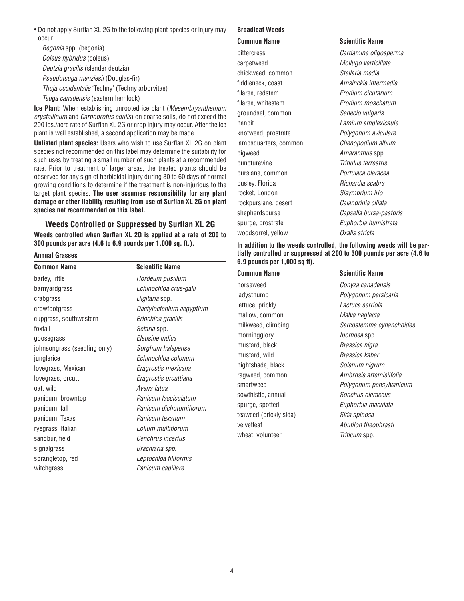• Do not apply Surflan XL 2G to the following plant species or injury may occur:

Begonia spp. (begonia) Coleus hybridus (coleus) Deutzia gracilis (slender deutzia) Pseudotsuga menziesii (Douglas-fir) Thuja occidentalis 'Techny' (Techny arborvitae) Tsuga canadensis (eastern hemlock)

**Ice Plant:** When establishing unrooted ice plant (Mesembryanthemum crystallinum and Carpobrotus edulis) on coarse soils, do not exceed the 200 lbs./acre rate of Surflan XL 2G or crop injury may occur. After the ice plant is well established, a second application may be made.

**Unlisted plant species:** Users who wish to use Surflan XL 2G on plant species not recommended on this label may determine the suitability for such uses by treating a small number of such plants at a recommended rate. Prior to treatment of larger areas, the treated plants should be observed for any sign of herbicidal injury during 30 to 60 days of normal growing conditions to determine if the treatment is non-injurious to the target plant species. **The user assumes responsibility for any plant damage or other liability resulting from use of Surflan XL 2G on plant species not recommended on this label.**

## **Weeds Controlled or Suppressed by Surflan XL 2G**

**Weeds controlled when Surflan XL 2G is applied at a rate of 200 to 300 pounds per acre (4.6 to 6.9 pounds per 1,000 sq. ft.).**

### **Annual Grasses**

| <b>Common Name</b>           | <b>Scientific Name</b>   |
|------------------------------|--------------------------|
| barley, little               | Hordeum pusillum         |
| barnyardgrass                | Echinochloa crus-galli   |
| crabgrass                    | Digitaria spp.           |
| crowfootgrass                | Dactyloctenium aegyptium |
| cupgrass, southwestern       | Eriochloa gracilis       |
| foxtail                      | Setaria spp.             |
| goosegrass                   | Eleusine indica          |
| johnsongrass (seedling only) | Sorghum halepense        |
| junglerice                   | Echinochloa colonum      |
| lovegrass, Mexican           | Eragrostis mexicana      |
| lovegrass, orcutt            | Eragrostis orcuttiana    |
| oat, wild                    | Avena fatua              |
| panicum, browntop            | Panicum fasciculatum     |
| panicum, fall                | Panicum dichotomiflorum  |
| panicum, Texas               | Panicum texanum          |
| ryegrass, Italian            | Lolium multiflorum       |
| sandbur, field               | Cenchrus incertus        |
| signalgrass                  | Brachiaria spp.          |
| sprangletop, red             | Leptochloa filiformis    |
| witchgrass                   | Panicum capillare        |

### **Broadleaf Weeds**

| <b>Common Name</b>    | <b>Scientific Name</b>  |
|-----------------------|-------------------------|
| bittercress           | Cardamine oligosperma   |
| carpetweed            | Mollugo verticillata    |
| chickweed, common     | Stellaria media         |
| fiddleneck, coast     | Amsinckia intermedia    |
| filaree, redstem      | Erodium cicutarium      |
| filaree, whitestem    | Erodium moschatum       |
| groundsel, common     | Senecio vulgaris        |
| henbit                | Lamium amplexicaule     |
| knotweed, prostrate   | Polygonum aviculare     |
| lambsquarters, common | Chenopodium album       |
| pigweed               | <i>Amaranthus</i> spp.  |
| puncturevine          | Tribulus terrestris     |
| purslane, common      | Portulaca oleracea      |
| pusley, Florida       | Richardia scabra        |
| rocket, London        | Sisymbrium irio         |
| rockpurslane, desert  | Calandrinia ciliata     |
| shepherdspurse        | Capsella bursa-pastoris |
| spurge, prostrate     | Euphorbia humistrata    |
| woodsorrel, yellow    | Oxalis stricta          |

### **In addition to the weeds controlled, the following weeds will be partially controlled or suppressed at 200 to 300 pounds per acre (4.6 to 6.9 pounds per 1,000 sq ft).**

| <b>Common Name</b>     | <b>Scientific Name</b>   |
|------------------------|--------------------------|
| horseweed              | Conyza canadensis        |
| ladysthumb             | Polygonum persicaria     |
| lettuce, prickly       | Lactuca serriola         |
| mallow, common         | Malva neglecta           |
| milkweed, climbing     | Sarcostemma cynanchoides |
| morningglory           | <i>lpomoea</i> spp.      |
| mustard, black         | Brassica nigra           |
| mustard, wild          | Brassica kaber           |
| nightshade, black      | Solanum nigrum           |
| ragweed, common        | Ambrosia artemisiifolia  |
| smartweed              | Polygonum pensylvanicum  |
| sowthistle, annual     | Sonchus oleraceus        |
| spurge, spotted        | Euphorbia maculata       |
| teaweed (prickly sida) | Sida spinosa             |
| velvetleaf             | Abutilon theophrasti     |
| wheat, volunteer       | <i>Triticum</i> spp.     |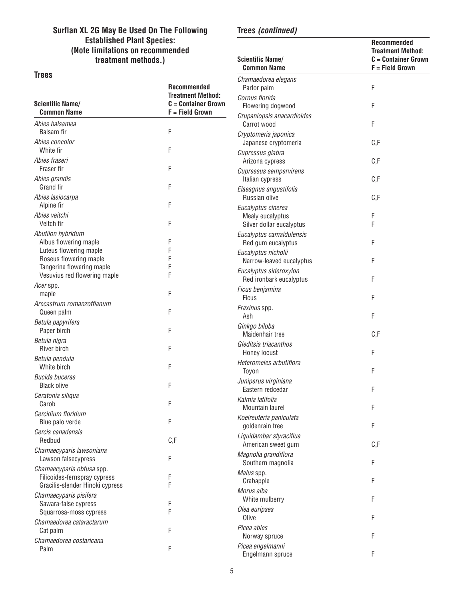## **Surflan XL 2G May Be Used On The Following Established Plant Species: (Note limitations on recommended treatment methods.)**

### **Trees**

## **Recommended Treatment Method: Scientific Name/ C = Container Grown Common Name** F = Field Grown Abies balsamea Balsam fir F Abies concolor White fir F Abies fraseri Fraser fir Fraser fire the state of the state of the state of the state of the state of the state of the state of the state of the state of the state of the state of the state of the state of the state of the state of the Abies grandis Grand fir F Abies lasiocarpa Alpine fir F Abies veitchi Veitch fir F Abutilon hybridum Albus flowering maple F Luteus flowering maple F Roseus flowering maple F Tangerine flowering maple entitled and the F<br>Vesuvius red flowering maple Vesuvius red flowering maple Acer spp. maple **F** Arecastrum romanzoffianum Queen palm F Betula papyrifera Paper birch F Betula nigra River birch F Betula pendula White birch F Bucida buceras Black olive F Ceratonia siliqua Carob **F** Cercidium floridum Blue palo verde F Cercis canadensis Redbud **C.F.** Chamaecyparis lawsoniana Lawson falsecypress F Chamaecyparis obtusa spp. Filicoides-fernspray cypress F Gracilis-slender Hinoki cypress F Chamaecyparis pisifera Sawara-false cypress<br>Squarrosa-moss cypress F Squarrosa-moss cypress Chamaedorea cataractarum Cat palm F Chamaedorea costaricana

Palm F

## **Recommended Treatment Method: Scientific Name/ C = Container Grown Common Name** F = Field Grown Chamaedorea elegans Parlor palm F Cornus florida Flowering dogwood F Crupaniopsis anacardioides Carrot wood F Cryptomeria japonica Japanese cryptomeria C,F Cupressus glabra Arizona cypress C,F Cupressus sempervirens Italian cypress C,F Elaeagnus angustifolia Russian olive C, E Eucalyptus cinerea Mealy eucalyptus F Silver dollar eucalyptus F Eucalyptus camaldulensis Red gum eucalyptus F Eucalyptus nicholii Narrow-leaved eucalyptus F Eucalyptus sideroxylon Red ironbark eucalyptus F Ficus benjamina Ficus F Fraxinus spp. Ash F Ginkgo biloba Maidenhair tree C,F Gleditsia triacanthos Honey locust F Heteromeles arbutiflora Toyon **F** Juniperus virginiana Eastern redcedar F Kalmia latifolia Mountain laurel F Koelreuteria paniculata goldenrain tree F Liquidambar styraciflua American sweet gum C,F Magnolia grandiflora Southern magnolia F Malus spp. Crabapple F Morus alba White mulberry **F** Olea euripaea Olive F Picea abies Norway spruce F Picea engelmanni Engelmann spruce F

**Trees (continued)**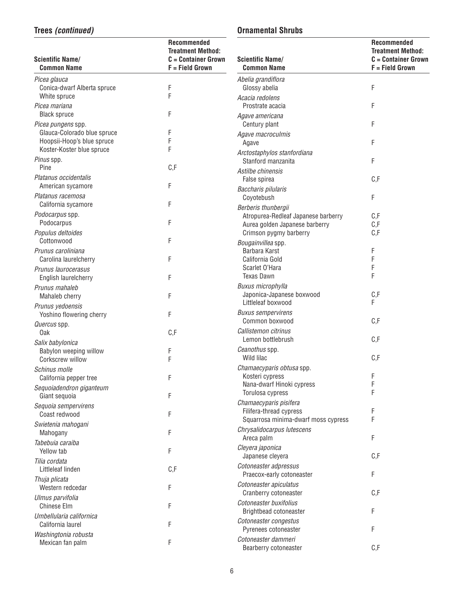# **Trees (continued)**

# **Ornamental Shrubs**

| <b>Scientific Name/</b><br><b>Common Name</b>     | <b>Recommended</b><br><b>Treatment Method:</b><br>$C =$ Container Grown<br>F = Field Grown | <b>Scientific Name/</b><br><b>Common Name</b>                     | <b>Recommended</b><br><b>Treatment Method:</b><br>$C =$ Container Grown<br>F = Field Grown |
|---------------------------------------------------|--------------------------------------------------------------------------------------------|-------------------------------------------------------------------|--------------------------------------------------------------------------------------------|
| Picea glauca                                      |                                                                                            | Abelia grandiflora                                                |                                                                                            |
| Conica-dwarf Alberta spruce                       | F                                                                                          | Glossy abelia                                                     | F                                                                                          |
| White spruce                                      | F                                                                                          | Acacia redolens                                                   |                                                                                            |
| Picea mariana<br><b>Black spruce</b>              | F                                                                                          | Prostrate acacia                                                  | F                                                                                          |
|                                                   |                                                                                            | Agave americana<br>Century plant                                  | F                                                                                          |
| Picea pungens spp.<br>Glauca-Colorado blue spruce | F                                                                                          | Agave macroculmis                                                 |                                                                                            |
| Hoopsii-Hoop's blue spruce                        | F                                                                                          | Agave                                                             | F                                                                                          |
| Koster-Koster blue spruce                         | F                                                                                          | Arctostaphylos stanfordiana                                       |                                                                                            |
| Pinus spp.                                        |                                                                                            | Stanford manzanita                                                | F                                                                                          |
| Pine                                              | C, F                                                                                       | Astilbe chinensis                                                 |                                                                                            |
| Platanus occidentalis                             |                                                                                            | False spirea                                                      | C, F                                                                                       |
| American sycamore<br>Platanus racemosa            | F                                                                                          | Baccharis pilularis                                               |                                                                                            |
| California sycamore                               | F                                                                                          | Coyotebush                                                        | F                                                                                          |
| Podocarpus spp.                                   |                                                                                            | Berberis thunbergii<br>Atropurea-Redleaf Japanese barberry        | C, F                                                                                       |
| Podocarpus                                        | F                                                                                          | Aurea golden Japanese barberry                                    | C, F                                                                                       |
| Populus deltoides                                 |                                                                                            | Crimson pygmy barberry                                            | C, F                                                                                       |
| Cottonwood                                        | F                                                                                          | Bougainvillea spp.                                                |                                                                                            |
| Prunus caroliniana                                |                                                                                            | Barbara Karst                                                     | F                                                                                          |
| Carolina laurelcherry                             | F                                                                                          | California Gold                                                   | F                                                                                          |
| Prunus laurocerasus                               |                                                                                            | Scarlet O'Hara<br><b>Texas Dawn</b>                               | F<br>F                                                                                     |
| English laurelcherry                              | F                                                                                          | Buxus microphylla                                                 |                                                                                            |
| Prunus mahaleb<br>Mahaleb cherry                  | F                                                                                          | Japonica-Japanese boxwood                                         | C, F                                                                                       |
| Prunus yedoensis                                  |                                                                                            | Littleleaf boxwood                                                | F                                                                                          |
| Yoshino flowering cherry                          | F                                                                                          | <b>Buxus sempervirens</b>                                         |                                                                                            |
| Quercus spp.                                      |                                                                                            | Common boxwood                                                    | C, F                                                                                       |
| 0ak                                               | C, F                                                                                       | Callistemon citrinus                                              |                                                                                            |
| Salix babylonica                                  |                                                                                            | Lemon bottlebrush                                                 | C, F                                                                                       |
| Babylon weeping willow                            | F                                                                                          | Ceanothus spp.<br>Wild lilac                                      | C, F                                                                                       |
| Corkscrew willow                                  | F                                                                                          | Chamaecyparis obtusa spp.                                         |                                                                                            |
| Schinus molle<br>California pepper tree           | F                                                                                          | Kosteri cypress                                                   | F                                                                                          |
| Sequoiadendron giganteum                          |                                                                                            | Nana-dwarf Hinoki cypress                                         | F                                                                                          |
| Giant sequoia                                     | F                                                                                          | Torulosa cypress                                                  | F                                                                                          |
| Sequoia sempervirens                              |                                                                                            | Chamaecyparis pisifera                                            |                                                                                            |
| Coast redwood                                     | F                                                                                          | Filifera-thread cypress                                           | F<br>F                                                                                     |
| Swietenia mahogani                                |                                                                                            | Squarrosa minima-dwarf moss cypress<br>Chrysalidocarpus lutescens |                                                                                            |
| Mahogany                                          | F                                                                                          | Areca palm                                                        | F                                                                                          |
| Tabebuia caraiba                                  |                                                                                            | Cleyera japonica                                                  |                                                                                            |
| Yellow tab                                        | F                                                                                          | Japanese cleyera                                                  | C, F                                                                                       |
| Tilia cordata<br>Littleleaf linden                | C, F                                                                                       | Cotoneaster adpressus                                             |                                                                                            |
| Thuja plicata                                     |                                                                                            | Praecox-early cotoneaster                                         | F                                                                                          |
| Western redcedar                                  | F                                                                                          | Cotoneaster apiculatus                                            |                                                                                            |
| Ulmus parvifolia                                  |                                                                                            | Cranberry cotoneaster                                             | C, F                                                                                       |
| <b>Chinese Elm</b>                                | F                                                                                          | Cotoneaster buxifolius                                            |                                                                                            |
| Umbellularia californica                          |                                                                                            | Brightbead cotoneaster                                            | F                                                                                          |
| California laurel                                 | F                                                                                          | Cotoneaster congestus<br>Pyrenees cotoneaster                     | F                                                                                          |
| Washingtonia robusta                              |                                                                                            | Cotoneaster dammeri                                               |                                                                                            |
| Mexican fan palm                                  | F                                                                                          | Bearberry cotoneaster                                             | C, F                                                                                       |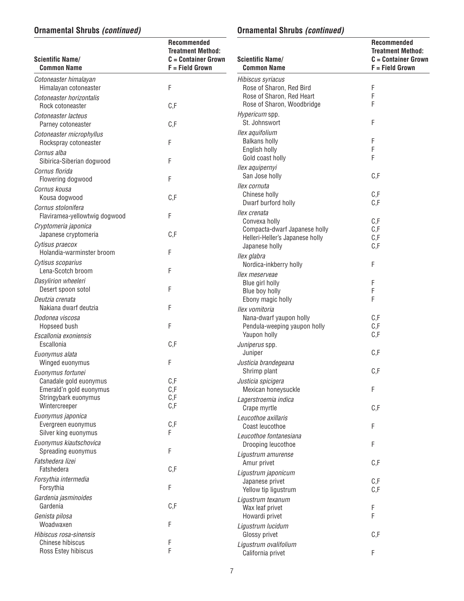# **Ornamental Shrubs (continued)**

# **Ornamental Shrubs (continued)**

**Recommended Treatment Method: C** = Container Grown  $F =$  Field Grown

| <b>Scientific Name/</b><br><b>Common Name</b>                     | <b>Recommended</b><br><b>Treatment Method:</b><br>$C =$ Container Grown<br>$F = Field Grown$ | <b>Scientific Name/</b><br><b>Common Name</b>                                     | Re<br><b>Tre</b><br>$C =$<br>$F =$ |
|-------------------------------------------------------------------|----------------------------------------------------------------------------------------------|-----------------------------------------------------------------------------------|------------------------------------|
| Cotoneaster himalayan<br>Himalayan cotoneaster                    | F                                                                                            | Hibiscus syriacus<br>Rose of Sharon, Red Bird                                     | F                                  |
| Cotoneaster horizontalis<br>Rock cotoneaster                      | C, F                                                                                         | Rose of Sharon, Red Heart<br>Rose of Sharon, Woodbridge                           | F<br>F                             |
| Cotoneaster lacteus<br>Parney cotoneaster                         | C, F                                                                                         | Hypericum spp.<br>St. Johnswort                                                   | F                                  |
| Cotoneaster microphyllus<br>Rockspray cotoneaster                 | F                                                                                            | Ilex aquifolium<br><b>Balkans holly</b>                                           | F                                  |
| Cornus alba<br>Sibirica-Siberian dogwood                          | F                                                                                            | English holly<br>Gold coast holly                                                 | F<br>F                             |
| Cornus florida<br>Flowering dogwood                               | F                                                                                            | Ilex aquipernyi<br>San Jose holly                                                 | C, F                               |
| Cornus kousa<br>Kousa dogwood                                     | C, F                                                                                         | llex cornuta<br>Chinese holly                                                     | C, F<br>C, F                       |
| Cornus stolonifera<br>Flaviramea-yellowtwig dogwood               | F                                                                                            | Dwarf burford holly<br>Ilex crenata                                               | C, F                               |
| Cryptomeria japonica<br>Japanese cryptomeria                      | C, F                                                                                         | Convexa holly<br>Compacta-dwarf Japanese holly<br>Helleri-Heller's Japanese holly | C, F<br>C, F                       |
| Cytisus praecox<br>Holandia-warminster broom<br>Cytisus scoparius | F                                                                                            | Japanese holly<br>llex glabra                                                     | C, F                               |
| Lena-Scotch broom<br>Dasylirion wheeleri                          | F                                                                                            | Nordica-inkberry holly<br>llex meserveae                                          | F                                  |
| Desert spoon sotol<br>Deutzia crenata                             | F                                                                                            | Blue girl holly<br>Blue boy holly<br>Ebony magic holly                            | F<br>F<br>F                        |
| Nakiana dwarf deutzia<br>Dodonea viscosa                          | F                                                                                            | Ilex vomitoria<br>Nana-dwarf yaupon holly                                         | C, F                               |
| Hopseed bush<br>Escallonia exoniensis                             | F                                                                                            | Pendula-weeping yaupon holly<br>Yaupon holly                                      | C, F<br>C, F                       |
| Escallonia<br>Euonymus alata                                      | C, F                                                                                         | Juniperus spp.<br>Juniper                                                         | C, F                               |
| Winged euonymus<br>Euonymus fortunei                              | F                                                                                            | Justicia brandegeana<br>Shrimp plant                                              | C, F                               |
| Canadale gold euonymus                                            | C, F                                                                                         | Justicia spicigera                                                                |                                    |
| Emerald'n gold euonymus<br>Stringybark euonymus                   | C, F<br>C, F                                                                                 | Mexican honeysuckle<br>Lagerstroemia indica                                       | F                                  |
| Wintercreeper<br>Euonymus japonica                                | C, F                                                                                         | Crape myrtle<br>Leucothoe axillaris                                               | C, F                               |
| Evergreen euonymus<br>Silver king euonymus                        | C, F<br>F                                                                                    | Coast leucothoe<br>Leucothoe fontanesiana                                         | F                                  |
| Euonymus kiautschovica<br>Spreading euonymus                      | F                                                                                            | Drooping leucothoe                                                                | F                                  |
| Fatshedera lizei<br>Fatshedera                                    | C, F                                                                                         | Ligustrum amurense<br>Amur privet                                                 | C, F                               |
| Forsythia intermedia<br>Forsythia                                 | F                                                                                            | Ligustrum japonicum<br>Japanese privet<br>Yellow tip ligustrum                    | C, F<br>C, F                       |
| Gardenia jasminoides<br>Gardenia                                  | C, F                                                                                         | Ligustrum texanum<br>Wax leaf privet                                              | F                                  |
| Genista pilosa<br>Woadwaxen                                       | F                                                                                            | Howardi privet<br>Ligustrum lucidum                                               | $\mathsf F$                        |
| Hibiscus rosa-sinensis<br>Chinese hibiscus                        | F                                                                                            | Glossy privet                                                                     | C, F                               |
| Ross Estey hibiscus                                               | F                                                                                            | Ligustrum ovalifolium<br>California privet                                        | F                                  |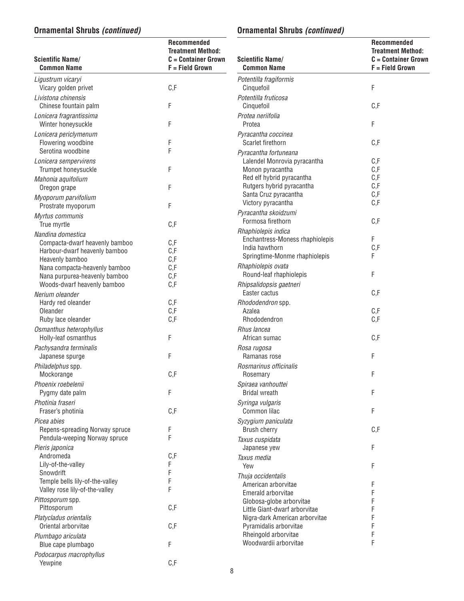# **Ornamental Shrubs (continued)**

# **Ornamental Shrubs (continued)**

| <b>Scientific Name/</b><br><b>Common Name</b>    | Recommended<br><b>Treatment Method:</b><br>$C =$ Container Grown<br>F = Field Grown | <b>Scientific Name/</b><br><b>Common Name</b>                   | Recommended<br><b>Treatment Method:</b><br>$C =$ Container Grown<br>F = Field Grown |
|--------------------------------------------------|-------------------------------------------------------------------------------------|-----------------------------------------------------------------|-------------------------------------------------------------------------------------|
| Ligustrum vicaryi<br>Vicary golden privet        | C, F                                                                                | Potentilla fragiformis<br>Cinquefoil                            | F                                                                                   |
| Livistona chinensis                              |                                                                                     | Potentilla fruticosa                                            |                                                                                     |
| Chinese fountain palm                            | F                                                                                   | Cinquefoil<br>Protea neriifolia                                 | C, F                                                                                |
| Lonicera fragrantissima<br>Winter honeysuckle    | F                                                                                   | Protea                                                          | F                                                                                   |
| Lonicera periclymenum                            |                                                                                     | Pyracantha coccinea                                             |                                                                                     |
| Flowering woodbine                               | F                                                                                   | Scarlet firethorn                                               | C, F                                                                                |
| Serotina woodbine                                | F                                                                                   | Pyracantha fortuneana                                           |                                                                                     |
| Lonicera sempervirens<br>Trumpet honeysuckle     | F                                                                                   | Lalendel Monrovia pyracantha<br>Monon pyracantha                | C, F<br>C, F                                                                        |
| Mahonia aquifolium                               |                                                                                     | Red elf hybrid pyracantha                                       | C, F                                                                                |
| Oregon grape                                     | F                                                                                   | Rutgers hybrid pyracantha                                       | C, F                                                                                |
| Myoporum parvifolium                             |                                                                                     | Santa Cruz pyracantha<br>Victory pyracantha                     | C, F<br>C, F                                                                        |
| Prostrate myoporum                               | F                                                                                   | Pyracantha skoidzumi                                            |                                                                                     |
| Myrtus communis<br>True myrtle                   | C, F                                                                                | Formosa firethorn                                               | C, F                                                                                |
| Nandina domestica                                |                                                                                     | Rhaphiolepis indica                                             |                                                                                     |
| Compacta-dwarf heavenly bamboo                   | C, F                                                                                | Enchantress-Moness rhaphiolepis<br>India hawthorn               | F<br>C, F                                                                           |
| Harbour-dwarf heavenly bamboo                    | C, F                                                                                | Springtime-Monme rhaphiolepis                                   | F                                                                                   |
| Heavenly bamboo<br>Nana compacta-heavenly bamboo | C, F<br>C, F                                                                        | Rhaphiolepis ovata                                              |                                                                                     |
| Nana purpurea-heavenly bamboo                    | C, F                                                                                | Round-leaf rhaphiolepis                                         | F                                                                                   |
| Woods-dwarf heavenly bamboo                      | C, F                                                                                | Rhipsalidopsis gaetneri                                         |                                                                                     |
| Nerium oleander                                  |                                                                                     | Easter cactus                                                   | C, F                                                                                |
| Hardy red oleander<br>Oleander                   | C, F<br>C, F                                                                        | Rhododendron spp.<br>Azalea                                     | C, F                                                                                |
| Ruby lace oleander                               | C, F                                                                                | Rhododendron                                                    | C, F                                                                                |
| Osmanthus heterophyllus                          |                                                                                     | Rhus lancea                                                     |                                                                                     |
| Holly-leaf osmanthus                             | F                                                                                   | African sumac                                                   | C, F                                                                                |
| Pachysandra terminalis<br>Japanese spurge        | F                                                                                   | Rosa rugosa<br>Ramanas rose                                     | F                                                                                   |
| Philadelphus spp.                                |                                                                                     | Rosmarinus officinalis                                          |                                                                                     |
| Mockorange                                       | C, F                                                                                | Rosemary                                                        | F                                                                                   |
| Phoenix roebelenii                               |                                                                                     | Spiraea vanhouttei                                              |                                                                                     |
| Pygmy date palm                                  | F                                                                                   | <b>Bridal wreath</b>                                            | F                                                                                   |
| Photinia fraseri<br>Fraser's photinia            | C, F                                                                                | Syringa vulgaris<br>Common lilac                                | F                                                                                   |
| Picea abies                                      |                                                                                     | Syzygium paniculata                                             |                                                                                     |
| Repens-spreading Norway spruce                   | F                                                                                   | Brush cherry                                                    | C, F                                                                                |
| Pendula-weeping Norway spruce                    | F                                                                                   | Taxus cuspidata                                                 |                                                                                     |
| Pieris japonica<br>Andromeda                     |                                                                                     | Japanese yew                                                    | F                                                                                   |
| Lily-of-the-valley                               | C, F<br>F                                                                           | Taxus media<br>Yew                                              | F                                                                                   |
| Snowdrift                                        | F                                                                                   | Thuja occidentalis                                              |                                                                                     |
| Temple bells lily-of-the-valley                  | F                                                                                   | American arborvitae                                             | F                                                                                   |
| Valley rose lily-of-the-valley                   | F                                                                                   | Emerald arborvitae                                              |                                                                                     |
| Pittosporum spp.<br>Pittosporum                  | C, F                                                                                | Globosa-globe arborvitae                                        |                                                                                     |
| Platycladus orientalis                           |                                                                                     | Little Giant-dwarf arborvitae<br>Nigra-dark American arborvitae |                                                                                     |
| Oriental arborvitae                              | C, F                                                                                | Pyramidalis arborvitae                                          |                                                                                     |
| Plumbago ariculata                               |                                                                                     | Rheingold arborvitae                                            |                                                                                     |
| Blue cape plumbago                               | F                                                                                   | Woodwardii arborvitae                                           | F                                                                                   |
| Podocarpus macrophyllus<br>Yewpine               | C, F                                                                                |                                                                 |                                                                                     |
|                                                  |                                                                                     |                                                                 |                                                                                     |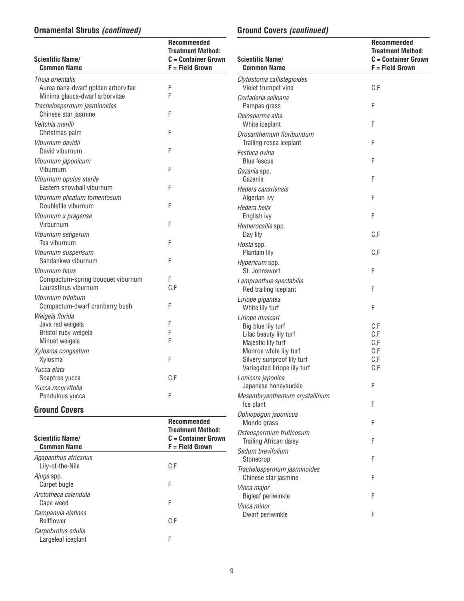# **Ornamental Shrubs (continued)**

# **Ground Covers (continued)**

| <b>Scientific Name/</b><br><b>Common Name</b>             | <b>Recommended</b><br><b>Treatment Method:</b><br>$C =$ Container Grown<br>F = Field Grown | <b>Scientific Name/</b><br><b>Common Name</b>       | Recommended<br><b>Treatment Method:</b><br>$C =$ Container Grown<br>F = Field Grown |
|-----------------------------------------------------------|--------------------------------------------------------------------------------------------|-----------------------------------------------------|-------------------------------------------------------------------------------------|
| Thuja orientalis                                          |                                                                                            | Clytostoma callistegioides                          |                                                                                     |
| Aurea nana-dwarf golden arborvitae                        | F                                                                                          | Violet trumpet vine                                 | C, F                                                                                |
| Minima glauca-dwarf arborvitae                            | F                                                                                          | Cortaderia selloana                                 |                                                                                     |
| Trachelospermum jasminoides                               |                                                                                            | Pampas grass                                        | F                                                                                   |
| Chinese star jasmine                                      | F                                                                                          | Delosperma alba                                     |                                                                                     |
| Veitchia merilli                                          | F                                                                                          | White iceplant                                      | F                                                                                   |
| Christmas palm<br>Viburnum davidii                        |                                                                                            | Drosanthemum floribundum<br>Trailing rosea iceplant | F                                                                                   |
| David viburnum                                            | F                                                                                          | Festuca ovina                                       |                                                                                     |
| Viburnum japonicum                                        |                                                                                            | <b>Blue fescue</b>                                  | F                                                                                   |
| Viburnum                                                  | F                                                                                          | Gazania spp.                                        |                                                                                     |
| Viburnum opulus sterile                                   |                                                                                            | Gazania                                             | F                                                                                   |
| Eastern snowball viburnum                                 | F                                                                                          | Hedera canariensis                                  |                                                                                     |
| Viburnum plicatum tomentosum                              |                                                                                            | Algerian ivy                                        | F                                                                                   |
| Doublefile viburnum                                       | F                                                                                          | Hedera helix                                        |                                                                                     |
| Viburnum x pragense                                       |                                                                                            | English ivy                                         | F                                                                                   |
| Virburnum                                                 | F                                                                                          | Hemerocallis spp.                                   |                                                                                     |
| Viburnum setigerum                                        |                                                                                            | Day lily                                            | C, F                                                                                |
| Tea viburnum                                              | F                                                                                          | Hosta spp.                                          |                                                                                     |
| Viburnum suspensum                                        |                                                                                            | Plantain lily                                       | C, F                                                                                |
| Sandankwa viburnum                                        | F                                                                                          | Hypericum spp.                                      |                                                                                     |
| Viburnum tinus                                            |                                                                                            | St. Johnswort                                       | F                                                                                   |
| Compactum-spring bouquet viburnum<br>Laurastinus viburnum | F<br>C, F                                                                                  | Lampranthus spectabilis                             |                                                                                     |
| Viburnum trilobum                                         |                                                                                            | Red trailing iceplant                               | F                                                                                   |
| Compactum-dwarf cranberry bush                            | F                                                                                          | Liriope gigantea<br>White lily turf                 | F                                                                                   |
| Weigela florida                                           |                                                                                            | Liriope muscari                                     |                                                                                     |
| Java red weigela                                          | F                                                                                          | Big blue lily turf                                  | C, F                                                                                |
| Bristol ruby weigela                                      | F                                                                                          | Lilac beauty lily turf                              | C, F                                                                                |
| Minuet weigela                                            | F                                                                                          | Majestic lily turf                                  | C, F                                                                                |
| Xylosma congestum                                         |                                                                                            | Monroe white lily turf                              | C, F                                                                                |
| Xylosma                                                   | F                                                                                          | Silvery sunproof lily turf                          | C, F                                                                                |
| Yucca elata                                               |                                                                                            | Variegated liriope lily turf                        | C, F                                                                                |
| Soaptree yucca                                            | C, F                                                                                       | Lonicera japonica                                   |                                                                                     |
| Yucca recurvifolia                                        |                                                                                            | Japanese honeysuckle                                | F                                                                                   |
| Pendulous yucca                                           | F                                                                                          | Mesembryanthemum crystallinum<br>Ice plant          | F                                                                                   |
| <b>Ground Covers</b>                                      |                                                                                            | Ophiopogon japonicus                                |                                                                                     |
|                                                           | Recommended                                                                                | Mondo grass                                         | F                                                                                   |
|                                                           | <b>Treatment Method:</b>                                                                   | Osteospermum fruticosum                             |                                                                                     |
| <b>Scientific Name/</b>                                   | $C =$ Container Grown                                                                      | Trailing African daisy                              | F                                                                                   |
| <b>Common Name</b>                                        | $F = Field Grown$                                                                          | Sedum brevifolium                                   |                                                                                     |
| Agapanthus africanus                                      |                                                                                            | Stonecrop                                           | F                                                                                   |
| Lily-of-the-Nile                                          | C, F                                                                                       | Trachelospermum jasminoides                         |                                                                                     |
| Ajuga spp.                                                |                                                                                            | Chinese star jasmine                                | F                                                                                   |
| Carpet bugle                                              | F                                                                                          | Vinca major                                         |                                                                                     |
| Arctotheca calendula                                      | F                                                                                          | <b>Bigleaf periwinkle</b>                           | F                                                                                   |
| Cape weed                                                 |                                                                                            | Vinca minor                                         |                                                                                     |
| Campanula elatines<br>Bellflower                          | C, F                                                                                       | Dwarf periwinkle                                    | F                                                                                   |
| Carpobrotus edulis                                        |                                                                                            |                                                     |                                                                                     |
| Largeleaf iceplant                                        |                                                                                            |                                                     |                                                                                     |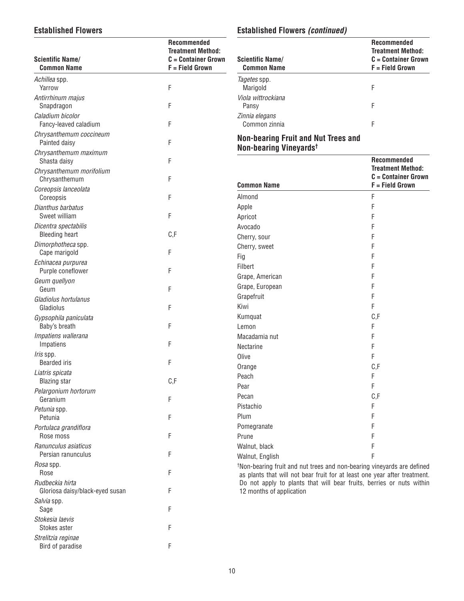## **Established Flowers**

| <b>Scientific Name/</b><br><b>Common Name</b>      | Recommended<br><b>Treatment Method:</b><br>$C =$ Container Grown<br>F = Field Grown |
|----------------------------------------------------|-------------------------------------------------------------------------------------|
| Achillea spp.                                      |                                                                                     |
| Yarrow<br>Antirrhinum majus                        | F                                                                                   |
| Snapdragon                                         | F                                                                                   |
| Caladium bicolor<br>Fancy-leaved caladium          | F                                                                                   |
| Chrysanthemum coccineum<br>Painted daisy           | F                                                                                   |
| Chrysanthemum maximum<br>Shasta daisy              | F                                                                                   |
| Chrysanthemum morifolium<br>Chrysanthemum          | F                                                                                   |
| Coreopsis lanceolata<br>Coreopsis                  | F                                                                                   |
| Dianthus barbatus<br>Sweet william                 | F                                                                                   |
| Dicentra spectabilis<br><b>Bleeding heart</b>      | C, F                                                                                |
| Dimorphotheca spp.<br>Cape marigold                | F                                                                                   |
| Echinacea purpurea<br>Purple coneflower            | F                                                                                   |
| Geum quellyon<br>Geum                              | F                                                                                   |
| Gladiolus hortulanus<br>Gladiolus                  | F                                                                                   |
| Gypsophila paniculata<br>Baby's breath             | F                                                                                   |
| Impatiens wallerana<br>Impatiens                   | F                                                                                   |
| Iris spp.<br><b>Bearded</b> iris                   | F                                                                                   |
| Liatris spicata<br><b>Blazing star</b>             | C,F                                                                                 |
| Pelargonium hortorum<br>Geranium                   | F                                                                                   |
| Petunia spp.<br>Petunia                            | F                                                                                   |
| Portulaca grandiflora<br>Rose moss                 | F                                                                                   |
| Ranunculus asiaticus<br>Persian ranunculus         | F                                                                                   |
| <i>Rosa</i> spp.<br>Rose                           | F                                                                                   |
| Rudbeckia hirta<br>Gloriosa daisy/black-eyed susan | F                                                                                   |
| Salvia spp.<br>Sage                                | F                                                                                   |
| Stokesia laevis<br>Stokes aster                    | F                                                                                   |
| Strelitzia reginae<br>Bird of paradise             | F                                                                                   |

# **Established Flowers (continued)**

| <b>Scientific Name/</b><br><b>Common Name</b> | <b>Recommended</b><br><b>Treatment Method:</b><br>$C =$ Container Grown<br><b>F</b> = Field Grown |
|-----------------------------------------------|---------------------------------------------------------------------------------------------------|
| Tagetes spp.<br>Marigold                      | F                                                                                                 |
| Viola wittrockiana<br>Pansy                   | F                                                                                                 |
| Zinnia elegans<br>Common zinnia               | F                                                                                                 |

# **Non-bearing Fruit and Nut Trees and Non-bearing Vineyards†**

| <b>Common Name</b> | <b>Recommended</b><br><b>Treatment Method:</b><br>$C =$ Container Grown<br>F = Field Grown |
|--------------------|--------------------------------------------------------------------------------------------|
| Almond             | F                                                                                          |
| Apple              | F                                                                                          |
| Apricot            | F                                                                                          |
| Avocado            | F                                                                                          |
| Cherry, sour       | F                                                                                          |
| Cherry, sweet      | F                                                                                          |
| Fig                | F                                                                                          |
| Filbert            | F                                                                                          |
| Grape, American    | F                                                                                          |
| Grape, European    | F                                                                                          |
| Grapefruit         | F                                                                                          |
| Kiwi               | F                                                                                          |
| Kumquat            | C, F                                                                                       |
| Lemon              | F                                                                                          |
| Macadamia nut      | F                                                                                          |
| Nectarine          | F                                                                                          |
| Olive              | F                                                                                          |
| Orange             | C, F                                                                                       |
| Peach              | F                                                                                          |
| Pear               | F                                                                                          |
| Pecan              | C, F                                                                                       |
| Pistachio          | F                                                                                          |
| Plum               | F                                                                                          |
| Pomegranate        | F                                                                                          |
| Prune              | F                                                                                          |
| Walnut, black      | F                                                                                          |
| Walnut, English    | F                                                                                          |

† Non-bearing fruit and nut trees and non-bearing vineyards are defined as plants that will not bear fruit for at least one year after treatment. Do not apply to plants that will bear fruits, berries or nuts within 12 months of application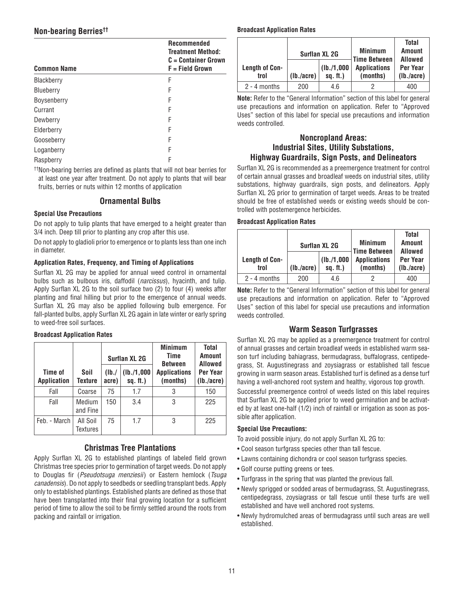# **Non-bearing Berries††**

| <b>Recommended</b><br><b>Treatment Method:</b><br>$C =$ Container Grown<br>F = Field Grown |  |  |
|--------------------------------------------------------------------------------------------|--|--|
| F                                                                                          |  |  |
| F                                                                                          |  |  |
| F                                                                                          |  |  |
| F                                                                                          |  |  |
| F                                                                                          |  |  |
| F                                                                                          |  |  |
| F                                                                                          |  |  |
| F                                                                                          |  |  |
| F                                                                                          |  |  |
|                                                                                            |  |  |

††Non-bearing berries are defined as plants that will not bear berries for at least one year after treatment. Do not apply to plants that will bear fruits, berries or nuts within 12 months of application

## **Ornamental Bulbs**

### **Special Use Precautions**

Do not apply to tulip plants that have emerged to a height greater than 3/4 inch. Deep till prior to planting any crop after this use.

Do not apply to gladioli prior to emergence or to plants less than one inch in diameter.

### **Application Rates, Frequency, and Timing of Applications**

Surflan XL 2G may be applied for annual weed control in ornamental bulbs such as bulbous iris, daffodil (*narcissus*), hyacinth, and tulip. Apply Surflan XL 2G to the soil surface two (2) to four (4) weeks after planting and final hilling but prior to the emergence of annual weeds. Surflan XL 2G may also be applied following bulb emergence. For fall-planted bulbs, apply Surflan XL 2G again in late winter or early spring to weed-free soil surfaces.

### **Broadcast Application Rates**

|                               |                      | <b>Surflan XL 2G</b> |                           | <b>Minimum</b><br>Time<br><b>Between</b> | <b>Total</b><br><b>Amount</b><br>Allowed |
|-------------------------------|----------------------|----------------------|---------------------------|------------------------------------------|------------------------------------------|
| Time of<br><b>Application</b> | Soil<br>Texture      | (Ib.<br>acre)        | (Ib./1,000)<br>$sq.$ ft.) | <b>Applications</b><br>(months)          | Per Year<br>(lb./acre)                   |
| Fall                          | Coarse               |                      | 1.7                       | 3                                        | 150                                      |
| Fall                          | Medium<br>and Fine   | 150                  | 3.4                       | 3                                        | 225                                      |
| Feb. - March                  | All Soil<br>Textures | 75                   | 1.7                       | 3                                        | 225                                      |

## **Christmas Tree Plantations**

Apply Surflan XL 2G to established plantings of labeled field grown Christmas tree species prior to germination of target weeds. Do not apply to Douglas fir (Pseudotsuga menziesii) or Eastern hemlock (Tsuga canadensis). Do not apply to seedbeds or seedling transplant beds. Apply only to established plantings. Established plants are defined as those that have been transplanted into their final growing location for a sufficient period of time to allow the soil to be firmly settled around the roots from packing and rainfall or irrigation.

### **Broadcast Application Rates**

|                        | <b>Surflan XL 2G</b> |                           | <b>Minimum</b><br><b>Time Between</b> | <b>Total</b><br><b>Amount</b><br>Allowed |
|------------------------|----------------------|---------------------------|---------------------------------------|------------------------------------------|
| Length of Con-<br>trol | (lb./acre)           | (Ib./1,000)<br>$sq.$ ft.) | <b>Applications</b><br>(months)       | Per Year<br>(lb./acre)                   |
| $2 - 4$ months         | 200                  | 4.6                       |                                       | 400                                      |

**Note:** Refer to the "General Information" section of this label for general use precautions and information on application. Refer to "Approved Uses" section of this label for special use precautions and information weeds controlled.

## **Noncropland Areas: Industrial Sites, Utility Substations, Highway Guardrails, Sign Posts, and Delineators**

Surflan XL 2G is recommended as a preemergence treatment for control of certain annual grasses and broadleaf weeds on industrial sites, utility substations, highway guardrails, sign posts, and delineators. Apply Surflan XL 2G prior to germination of target weeds. Areas to be treated should be free of established weeds or existing weeds should be controlled with postemergence herbicides.

### **Broadcast Application Rates**

|                               | <b>Surflan XL 2G</b> |                           | <b>Minimum</b><br>Time Between  | <b>Total</b><br><b>Amount</b><br><b>Allowed</b> |
|-------------------------------|----------------------|---------------------------|---------------------------------|-------------------------------------------------|
| <b>Length of Con-</b><br>trol | (lb./acre)           | (lb./1,000)<br>$sq.$ ft.) | <b>Applications</b><br>(months) | Per Year<br>(lb./acre)                          |
| $2 - 4$ months                | 200                  | 4.6                       |                                 | 400                                             |

**Note:** Refer to the "General Information" section of this label for general use precautions and information on application. Refer to "Approved Uses" section of this label for special use precautions and information weeds controlled.

## **Warm Season Turfgrasses**

Surflan XL 2G may be applied as a preemergence treatment for control of annual grasses and certain broadleaf weeds in established warm season turf including bahiagrass, bermudagrass, buffalograss, centipedegrass, St. Augustinegrass and zoysiagrass or established tall fescue growing in warm season areas. Established turf is defined as a dense turf having a well-anchored root system and healthy, vigorous top growth.

Successful preemergence control of weeds listed on this label requires that Surflan XL 2G be applied prior to weed germination and be activated by at least one-half (1/2) inch of rainfall or irrigation as soon as possible after application.

### **Special Use Precautions:**

To avoid possible injury, do not apply Surflan XL 2G to:

- Cool season turfgrass species other than tall fescue.
- Lawns containing dichondra or cool season turfgrass species.
- Golf course putting greens or tees.
- Turfgrass in the spring that was planted the previous fall.
- Newly sprigged or sodded areas of bermudagrass, St. Augustinegrass, centipedegrass, zoysiagrass or tall fescue until these turfs are well established and have well anchored root systems.
- Newly hydromulched areas of bermudagrass until such areas are well established.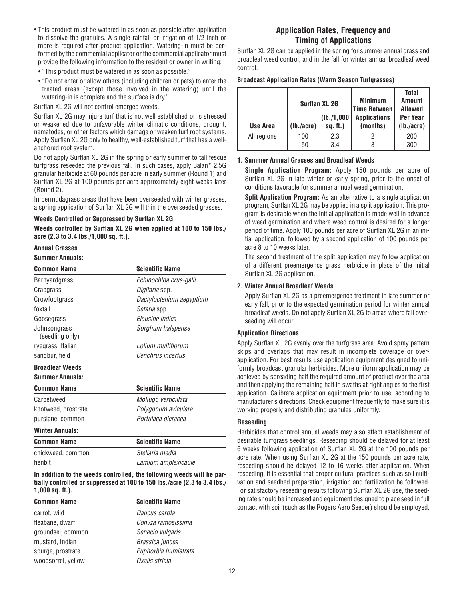- This product must be watered in as soon as possible after application to dissolve the granules. A single rainfall or irrigation of 1/2 inch or more is required after product application. Watering-in must be performed by the commercial applicator or the commercial applicator must provide the following information to the resident or owner in writing:
- "This product must be watered in as soon as possible."
- "Do not enter or allow others (including children or pets) to enter the treated areas (except those involved in the watering) until the watering-in is complete and the surface is dry."

Surflan XL 2G will not control emerged weeds.

Surflan XL 2G may injure turf that is not well established or is stressed or weakened due to unfavorable winter climatic conditions, drought, nematodes, or other factors which damage or weaken turf root systems. Apply Surflan XL 2G only to healthy, well-established turf that has a wellanchored root system.

Do not apply Surflan XL 2G in the spring or early summer to tall fescue turfgrass reseeded the previous fall. In such cases, apply Balan\* 2.5G granular herbicide at 60 pounds per acre in early summer (Round 1) and Surflan XL 2G at 100 pounds per acre approximately eight weeks later (Round 2).

In bermudagrass areas that have been overseeded with winter grasses, a spring application of Surflan XL 2G will thin the overseeded grasses.

### **Weeds Controlled or Suppressed by Surflan XL 2G**

**Weeds controlled by Surflan XL 2G when applied at 100 to 150 lbs./ acre (2.3 to 3.4 lbs./1,000 sq. ft.).**

### **Annual Grasses**

#### **Summer Annuals:**

| <b>Common Name</b>              | <b>Scientific Name</b>   |
|---------------------------------|--------------------------|
| Barnyardgrass                   | Echinochloa crus-galli   |
| Crabgrass                       | <i>Digitaria</i> spp.    |
| Crowfootgrass                   | Dactyloctenium aegyptium |
| foxtail                         | Setaria spp.             |
| Goosegrass                      | Fleusine indica          |
| Johnsongrass<br>(seedling only) | Sorghum halepense        |
| ryegrass, Italian               | I olium multiflorum      |
| sandbur, field                  | Cenchrus incertus        |
| <b>Broadleaf Weeds</b>          |                          |
| <b>Summer Annuals:</b>          |                          |
| Common Name                     | <b>Scientific Name</b>   |
| Carpetweed                      | Mollugo verticillata     |
| knotweed, prostrate             | Polygonum aviculare      |
| purslane, common                | Portulaça oleraçea       |
| <b>Winter Annuals:</b>          |                          |
| <b>Common Name</b>              | <b>Scientific Name</b>   |
| chickweed, common               | Stellaria media          |
| henbit                          | Lamium amplexicaule      |

#### **In addition to the weeds controlled, the following weeds will be partially controlled or suppressed at 100 to 150 lbs./acre (2.3 to 3.4 lbs./ 1,000 sq. ft.).**

| <b>Common Name</b> | <b>Scientific Name</b> |
|--------------------|------------------------|
| carrot, wild       | Daucus carota          |
| fleabane, dwarf    | Conyza ramosissima     |
| groundsel, common  | Senecio vulgaris       |
| mustard, Indian    | Brassica juncea        |
| spurge, prostrate  | Euphorbia humistrata   |
| woodsorrel, yellow | Oxalis stricta         |

## **Application Rates, Frequency and Timing of Applications**

Surflan XL 2G can be applied in the spring for summer annual grass and broadleaf weed control, and in the fall for winter annual broadleaf weed control.

#### **Broadcast Application Rates (Warm Season Turfgrasses)**

|             | <b>Surflan XL 2G</b> |                           | <b>Minimum</b><br><b>Time Between</b> | <b>Total</b><br><b>Amount</b><br>Allowed |
|-------------|----------------------|---------------------------|---------------------------------------|------------------------------------------|
| Use Area    | (lb./acre)           | (lb./1,000)<br>$sq.$ ft.) | <b>Applications</b><br>(months)       | Per Year<br>(lb./acre)                   |
| All regions | 100<br>150           | 2.3<br>3.4                |                                       | 200<br>300                               |

### **1. Summer Annual Grasses and Broadleaf Weeds**

**Single Application Program:** Apply 150 pounds per acre of Surflan XL 2G in late winter or early spring, prior to the onset of conditions favorable for summer annual weed germination.

**Split Application Program:** As an alternative to a single application program, Surflan XL 2G may be applied in a split application. This program is desirable when the initial application is made well in advance of weed germination and where weed control is desired for a longer period of time. Apply 100 pounds per acre of Surflan XL 2G in an initial application, followed by a second application of 100 pounds per acre 8 to 10 weeks later.

The second treatment of the split application may follow application of a different preemergence grass herbicide in place of the initial Surflan XL 2G application.

### **2. Winter Annual Broadleaf Weeds**

Apply Surflan XL 2G as a preemergence treatment in late summer or early fall, prior to the expected germination period for winter annual broadleaf weeds. Do not apply Surflan XL 2G to areas where fall overseeding will occur.

### **Application Directions**

Apply Surflan XL 2G evenly over the turfgrass area. Avoid spray pattern skips and overlaps that may result in incomplete coverage or over application. For best results use application equipment designed to uniformly broadcast granular herbicides. More uniform application may be achieved by spreading half the required amount of product over the area and then applying the remaining half in swaths at right angles to the first application. Calibrate application equipment prior to use, according to manufacturer's directions. Check equipment frequently to make sure it is working properly and distributing granules uniformly.

### **Reseeding**

Herbicides that control annual weeds may also affect establishment of desirable turfgrass seedlings. Reseeding should be delayed for at least 6 weeks following application of Surflan XL 2G at the 100 pounds per acre rate. When using Surflan XL 2G at the 150 pounds per acre rate, reseeding should be delayed 12 to 16 weeks after application. When reseeding, it is essential that proper cultural practices such as soil cultivation and seedbed preparation, irrigation and fertilization be followed. For satisfactory reseeding results following Surflan XL 2G use, the seeding rate should be increased and equipment designed to place seed in full contact with soil (such as the Rogers Aero Seeder) should be employed.